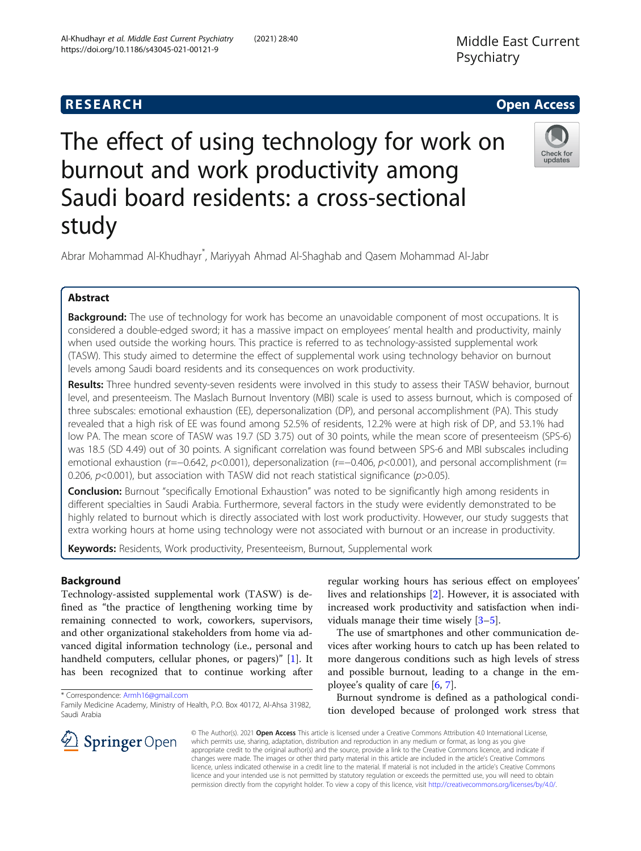# Middle East Current Psychiatry

# **RESEARCH CHINESEARCH CHINESEARCH CHINESE**

Check for undates

# The effect of using technology for work on burnout and work productivity among Saudi board residents: a cross-sectional study

Abrar Mohammad Al-Khudhayr\* , Mariyyah Ahmad Al-Shaghab and Qasem Mohammad Al-Jabr

# Abstract

**Background:** The use of technology for work has become an unavoidable component of most occupations. It is considered a double-edged sword; it has a massive impact on employees' mental health and productivity, mainly when used outside the working hours. This practice is referred to as technology-assisted supplemental work (TASW). This study aimed to determine the effect of supplemental work using technology behavior on burnout levels among Saudi board residents and its consequences on work productivity.

Results: Three hundred seventy-seven residents were involved in this study to assess their TASW behavior, burnout level, and presenteeism. The Maslach Burnout Inventory (MBI) scale is used to assess burnout, which is composed of three subscales: emotional exhaustion (EE), depersonalization (DP), and personal accomplishment (PA). This study revealed that a high risk of EE was found among 52.5% of residents, 12.2% were at high risk of DP, and 53.1% had low PA. The mean score of TASW was 19.7 (SD 3.75) out of 30 points, while the mean score of presenteeism (SPS-6) was 18.5 (SD 4.49) out of 30 points. A significant correlation was found between SPS-6 and MBI subscales including emotional exhaustion (r=−0.642, p<0.001), depersonalization (r=−0.406, p<0.001), and personal accomplishment (r= 0.206,  $p$ <0.001), but association with TASW did not reach statistical significance ( $p$ >0.05).

**Conclusion:** Burnout "specifically Emotional Exhaustion" was noted to be significantly high among residents in different specialties in Saudi Arabia. Furthermore, several factors in the study were evidently demonstrated to be highly related to burnout which is directly associated with lost work productivity. However, our study suggests that extra working hours at home using technology were not associated with burnout or an increase in productivity.

Keywords: Residents, Work productivity, Presenteeism, Burnout, Supplemental work

## Background

Technology-assisted supplemental work (TASW) is defined as "the practice of lengthening working time by remaining connected to work, coworkers, supervisors, and other organizational stakeholders from home via advanced digital information technology (i.e., personal and handheld computers, cellular phones, or pagers)" [[1\]](#page-8-0). It has been recognized that to continue working after

\* Correspondence: [Armh16@gmail.com](mailto:Armh16@gmail.com)

regular working hours has serious effect on employees' lives and relationships [\[2](#page-8-0)]. However, it is associated with increased work productivity and satisfaction when individuals manage their time wisely [\[3](#page-8-0)–[5](#page-8-0)].

The use of smartphones and other communication devices after working hours to catch up has been related to more dangerous conditions such as high levels of stress and possible burnout, leading to a change in the employee's quality of care [[6,](#page-8-0) [7\]](#page-8-0).

Burnout syndrome is defined as a pathological condition developed because of prolonged work stress that

© The Author(s). 2021 Open Access This article is licensed under a Creative Commons Attribution 4.0 International License, which permits use, sharing, adaptation, distribution and reproduction in any medium or format, as long as you give appropriate credit to the original author(s) and the source, provide a link to the Creative Commons licence, and indicate if changes were made. The images or other third party material in this article are included in the article's Creative Commons licence, unless indicated otherwise in a credit line to the material. If material is not included in the article's Creative Commons licence and your intended use is not permitted by statutory regulation or exceeds the permitted use, you will need to obtain permission directly from the copyright holder. To view a copy of this licence, visit <http://creativecommons.org/licenses/by/4.0/>.



Family Medicine Academy, Ministry of Health, P.O. Box 40172, Al-Ahsa 31982, Saudi Arabia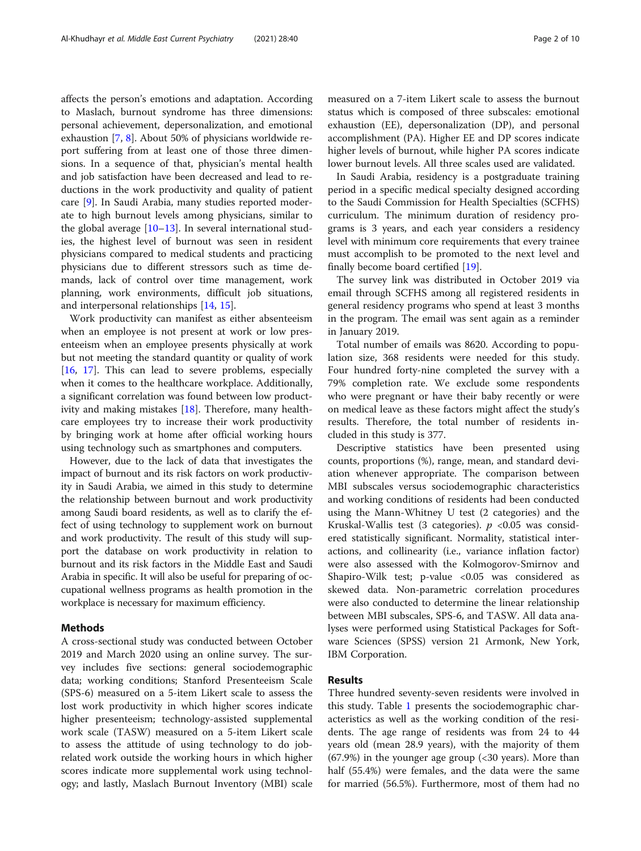affects the person's emotions and adaptation. According to Maslach, burnout syndrome has three dimensions: personal achievement, depersonalization, and emotional exhaustion [\[7,](#page-8-0) [8\]](#page-8-0). About 50% of physicians worldwide report suffering from at least one of those three dimensions. In a sequence of that, physician's mental health and job satisfaction have been decreased and lead to reductions in the work productivity and quality of patient care [\[9](#page-8-0)]. In Saudi Arabia, many studies reported moderate to high burnout levels among physicians, similar to the global average  $[10-13]$  $[10-13]$  $[10-13]$ . In several international studies, the highest level of burnout was seen in resident physicians compared to medical students and practicing physicians due to different stressors such as time demands, lack of control over time management, work planning, work environments, difficult job situations, and interpersonal relationships [\[14](#page-8-0), [15](#page-8-0)].

Work productivity can manifest as either absenteeism when an employee is not present at work or low presenteeism when an employee presents physically at work but not meeting the standard quantity or quality of work [[16,](#page-8-0) [17\]](#page-8-0). This can lead to severe problems, especially when it comes to the healthcare workplace. Additionally, a significant correlation was found between low productivity and making mistakes [\[18](#page-8-0)]. Therefore, many healthcare employees try to increase their work productivity by bringing work at home after official working hours using technology such as smartphones and computers.

However, due to the lack of data that investigates the impact of burnout and its risk factors on work productivity in Saudi Arabia, we aimed in this study to determine the relationship between burnout and work productivity among Saudi board residents, as well as to clarify the effect of using technology to supplement work on burnout and work productivity. The result of this study will support the database on work productivity in relation to burnout and its risk factors in the Middle East and Saudi Arabia in specific. It will also be useful for preparing of occupational wellness programs as health promotion in the workplace is necessary for maximum efficiency.

#### Methods

A cross-sectional study was conducted between October 2019 and March 2020 using an online survey. The survey includes five sections: general sociodemographic data; working conditions; Stanford Presenteeism Scale (SPS-6) measured on a 5-item Likert scale to assess the lost work productivity in which higher scores indicate higher presenteeism; technology-assisted supplemental work scale (TASW) measured on a 5-item Likert scale to assess the attitude of using technology to do jobrelated work outside the working hours in which higher scores indicate more supplemental work using technology; and lastly, Maslach Burnout Inventory (MBI) scale measured on a 7-item Likert scale to assess the burnout status which is composed of three subscales: emotional exhaustion (EE), depersonalization (DP), and personal accomplishment (PA). Higher EE and DP scores indicate higher levels of burnout, while higher PA scores indicate lower burnout levels. All three scales used are validated.

In Saudi Arabia, residency is a postgraduate training period in a specific medical specialty designed according to the Saudi Commission for Health Specialties (SCFHS) curriculum. The minimum duration of residency programs is 3 years, and each year considers a residency level with minimum core requirements that every trainee must accomplish to be promoted to the next level and finally become board certified [[19\]](#page-8-0).

The survey link was distributed in October 2019 via email through SCFHS among all registered residents in general residency programs who spend at least 3 months in the program. The email was sent again as a reminder in January 2019.

Total number of emails was 8620. According to population size, 368 residents were needed for this study. Four hundred forty-nine completed the survey with a 79% completion rate. We exclude some respondents who were pregnant or have their baby recently or were on medical leave as these factors might affect the study's results. Therefore, the total number of residents included in this study is 377.

Descriptive statistics have been presented using counts, proportions (%), range, mean, and standard deviation whenever appropriate. The comparison between MBI subscales versus sociodemographic characteristics and working conditions of residents had been conducted using the Mann-Whitney U test (2 categories) and the Kruskal-Wallis test (3 categories).  $p$  <0.05 was considered statistically significant. Normality, statistical interactions, and collinearity (i.e., variance inflation factor) were also assessed with the Kolmogorov-Smirnov and Shapiro-Wilk test; p-value <0.05 was considered as skewed data. Non-parametric correlation procedures were also conducted to determine the linear relationship between MBI subscales, SPS-6, and TASW. All data analyses were performed using Statistical Packages for Software Sciences (SPSS) version 21 Armonk, New York, IBM Corporation.

#### Results

Three hundred seventy-seven residents were involved in this study. Table [1](#page-2-0) presents the sociodemographic characteristics as well as the working condition of the residents. The age range of residents was from 24 to 44 years old (mean 28.9 years), with the majority of them (67.9%) in the younger age group (<30 years). More than half (55.4%) were females, and the data were the same for married (56.5%). Furthermore, most of them had no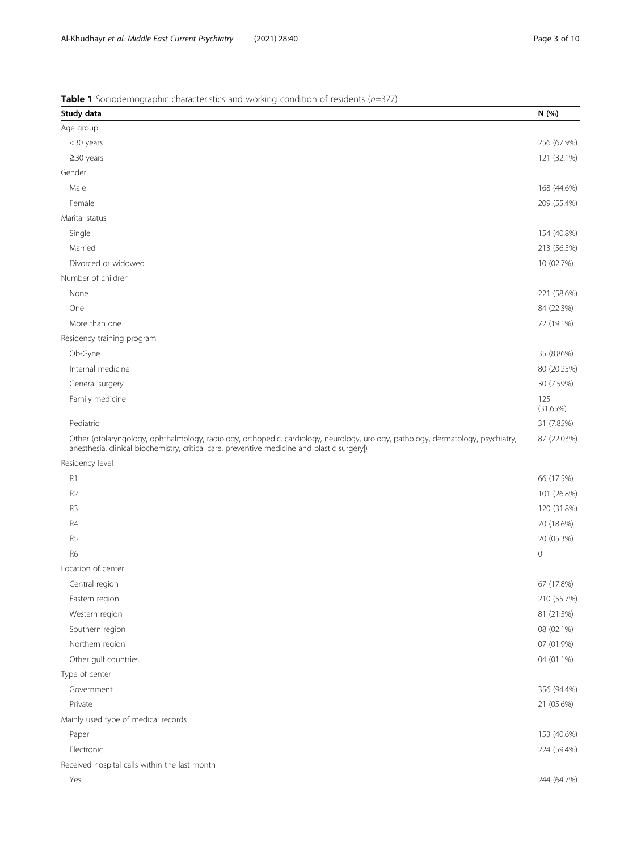<span id="page-2-0"></span>**Table 1** Sociodemographic characteristics and working condition of residents ( $n=377$ )

| Study data                                                                                                                                                                                                                      | N (%)           |
|---------------------------------------------------------------------------------------------------------------------------------------------------------------------------------------------------------------------------------|-----------------|
| Age group                                                                                                                                                                                                                       |                 |
| <30 years                                                                                                                                                                                                                       | 256 (67.9%)     |
| $\geq$ 30 years                                                                                                                                                                                                                 | 121 (32.1%)     |
| Gender                                                                                                                                                                                                                          |                 |
| Male                                                                                                                                                                                                                            | 168 (44.6%)     |
| Female                                                                                                                                                                                                                          | 209 (55.4%)     |
| Marital status                                                                                                                                                                                                                  |                 |
| Single                                                                                                                                                                                                                          | 154 (40.8%)     |
| Married                                                                                                                                                                                                                         | 213 (56.5%)     |
| Divorced or widowed                                                                                                                                                                                                             | 10 (02.7%)      |
| Number of children                                                                                                                                                                                                              |                 |
| None                                                                                                                                                                                                                            | 221 (58.6%)     |
| One                                                                                                                                                                                                                             | 84 (22.3%)      |
| More than one                                                                                                                                                                                                                   | 72 (19.1%)      |
| Residency training program                                                                                                                                                                                                      |                 |
| Ob-Gyne                                                                                                                                                                                                                         | 35 (8.86%)      |
| Internal medicine                                                                                                                                                                                                               | 80 (20.25%)     |
| General surgery                                                                                                                                                                                                                 | 30 (7.59%)      |
| Family medicine                                                                                                                                                                                                                 | 125<br>(31.65%) |
| Pediatric                                                                                                                                                                                                                       | 31 (7.85%)      |
| Other (otolaryngology, ophthalmology, radiology, orthopedic, cardiology, neurology, urology, pathology, dermatology, psychiatry,<br>anesthesia, clinical biochemistry, critical care, preventive medicine and plastic surgery ) | 87 (22.03%)     |
| Residency level                                                                                                                                                                                                                 |                 |
| R1                                                                                                                                                                                                                              | 66 (17.5%)      |
| R <sub>2</sub>                                                                                                                                                                                                                  | 101 (26.8%)     |
| R3                                                                                                                                                                                                                              | 120 (31.8%)     |
| R4                                                                                                                                                                                                                              | 70 (18.6%)      |
| R <sub>5</sub>                                                                                                                                                                                                                  | 20 (05.3%)      |
| R <sub>6</sub>                                                                                                                                                                                                                  | $\mathbf 0$     |
| Location of center                                                                                                                                                                                                              |                 |
| Central region                                                                                                                                                                                                                  | 67 (17.8%)      |
| Eastern region                                                                                                                                                                                                                  | 210 (55.7%)     |
| Western region                                                                                                                                                                                                                  | 81 (21.5%)      |
| Southern region                                                                                                                                                                                                                 | 08 (02.1%)      |
| Northern region                                                                                                                                                                                                                 | 07 (01.9%)      |
| Other gulf countries                                                                                                                                                                                                            | 04 (01.1%)      |
| Type of center                                                                                                                                                                                                                  |                 |
| Government                                                                                                                                                                                                                      | 356 (94.4%)     |
| Private                                                                                                                                                                                                                         | 21 (05.6%)      |
| Mainly used type of medical records                                                                                                                                                                                             |                 |
| Paper                                                                                                                                                                                                                           | 153 (40.6%)     |
| Electronic                                                                                                                                                                                                                      | 224 (59.4%)     |
| Received hospital calls within the last month                                                                                                                                                                                   |                 |
| Yes                                                                                                                                                                                                                             | 244 (64.7%)     |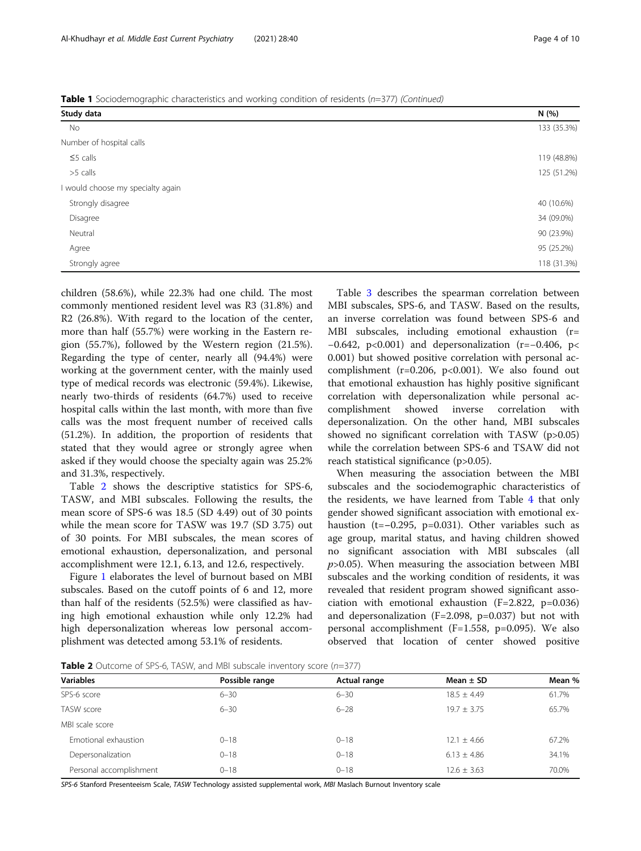children (58.6%), while 22.3% had one child. The most commonly mentioned resident level was R3 (31.8%) and R2 (26.8%). With regard to the location of the center, more than half (55.7%) were working in the Eastern region (55.7%), followed by the Western region (21.5%). Regarding the type of center, nearly all (94.4%) were working at the government center, with the mainly used type of medical records was electronic (59.4%). Likewise, nearly two-thirds of residents (64.7%) used to receive hospital calls within the last month, with more than five calls was the most frequent number of received calls (51.2%). In addition, the proportion of residents that stated that they would agree or strongly agree when asked if they would choose the specialty again was 25.2% and 31.3%, respectively.

Table 2 shows the descriptive statistics for SPS-6, TASW, and MBI subscales. Following the results, the mean score of SPS-6 was 18.5 (SD 4.49) out of 30 points while the mean score for TASW was 19.7 (SD 3.75) out of 30 points. For MBI subscales, the mean scores of emotional exhaustion, depersonalization, and personal accomplishment were 12.1, 6.13, and 12.6, respectively.

Figure [1](#page-4-0) elaborates the level of burnout based on MBI subscales. Based on the cutoff points of 6 and 12, more than half of the residents (52.5%) were classified as having high emotional exhaustion while only 12.2% had high depersonalization whereas low personal accomplishment was detected among 53.1% of residents.

Table [3](#page-4-0) describes the spearman correlation between MBI subscales, SPS-6, and TASW. Based on the results, an inverse correlation was found between SPS-6 and MBI subscales, including emotional exhaustion (r= −0.642, p<0.001) and depersonalization (r=−0.406, p< 0.001) but showed positive correlation with personal accomplishment ( $r=0.206$ ,  $p<0.001$ ). We also found out that emotional exhaustion has highly positive significant correlation with depersonalization while personal accomplishment showed inverse correlation with depersonalization. On the other hand, MBI subscales showed no significant correlation with TASW (p>0.05) while the correlation between SPS-6 and TSAW did not reach statistical significance (p>0.05).

When measuring the association between the MBI subscales and the sociodemographic characteristics of the residents, we have learned from Table [4](#page-5-0) that only gender showed significant association with emotional exhaustion (t=−0.295, p=0.031). Other variables such as age group, marital status, and having children showed no significant association with MBI subscales (all  $p > 0.05$ ). When measuring the association between MBI subscales and the working condition of residents, it was revealed that resident program showed significant association with emotional exhaustion (F=2.822, p=0.036) and depersonalization (F=2.098, p=0.037) but not with personal accomplishment (F=1.558, p=0.095). We also observed that location of center showed positive

**Table 2** Outcome of SPS-6, TASW, and MBI subscale inventory score ( $n=377$ )

| <b>Variables</b>        | Possible range | Actual range | Mean $\pm$ SD   | Mean % |
|-------------------------|----------------|--------------|-----------------|--------|
| SPS-6 score             | $6 - 30$       | $6 - 30$     | $18.5 \pm 4.49$ | 61.7%  |
| TASW score              | $6 - 30$       | $6 - 28$     | $19.7 \pm 3.75$ | 65.7%  |
| MBI scale score         |                |              |                 |        |
| Emotional exhaustion    | $0 - 18$       | $0 - 18$     | $12.1 \pm 4.66$ | 67.2%  |
| Depersonalization       | $0 - 18$       | $0 - 18$     | $6.13 \pm 4.86$ | 34.1%  |
| Personal accomplishment | $0 - 18$       | $0 - 18$     | $12.6 \pm 3.63$ | 70.0%  |

SPS-6 Stanford Presenteeism Scale, TASW Technology assisted supplemental work, MBI Maslach Burnout Inventory scale

|  |  |  | <b>Table 1</b> Sociodemographic characteristics and working condition of residents (n=377) (Continued) |
|--|--|--|--------------------------------------------------------------------------------------------------------|

| Study data                      | N (%)       |
|---------------------------------|-------------|
| No                              | 133 (35.3%) |
| Number of hospital calls        |             |
| $\leq$ 5 calls                  | 119 (48.8%) |
| >5 calls                        | 125 (51.2%) |
| would choose my specialty again |             |
| Strongly disagree               | 40 (10.6%)  |
| Disagree                        | 34 (09.0%)  |
| Neutral                         | 90 (23.9%)  |
| Agree                           | 95 (25.2%)  |
| Strongly agree                  | 118 (31.3%) |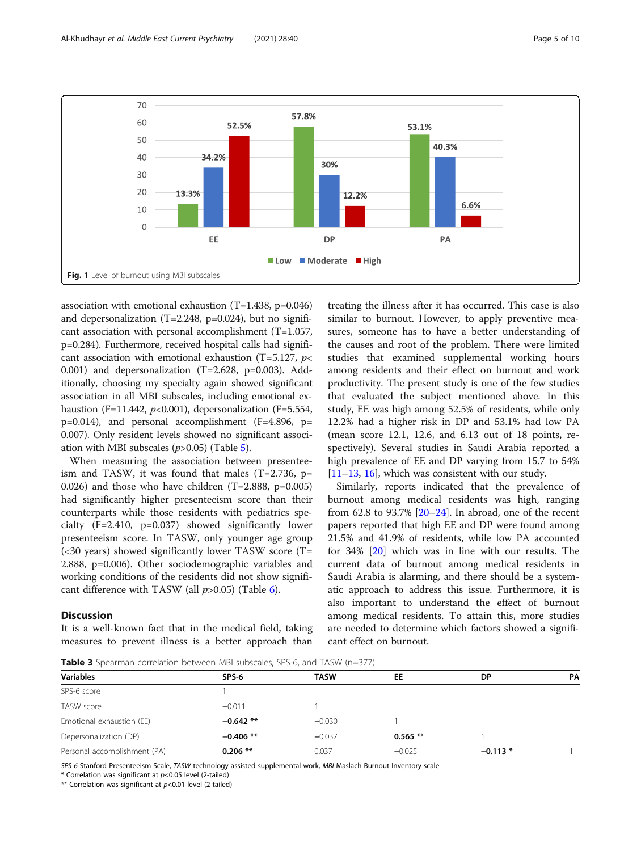<span id="page-4-0"></span>

association with emotional exhaustion (T=1.438, p=0.046) and depersonalization (T=2.248, p=0.024), but no significant association with personal accomplishment (T=1.057, p=0.284). Furthermore, received hospital calls had significant association with emotional exhaustion (T=5.127,  $p$ < 0.001) and depersonalization  $(T=2.628, p=0.003)$ . Additionally, choosing my specialty again showed significant association in all MBI subscales, including emotional exhaustion (F=11.442,  $p<0.001$ ), depersonalization (F=5.554, p=0.014), and personal accomplishment (F=4.896, p= 0.007). Only resident levels showed no significant association with MBI subscales  $(p>0.05)$  $(p>0.05)$  $(p>0.05)$  (Table 5).

When measuring the association between presenteeism and TASW, it was found that males  $(T=2.736, p=$ 0.026) and those who have children  $(T=2.888, p=0.005)$ had significantly higher presenteeism score than their counterparts while those residents with pediatrics specialty (F=2.410, p=0.037) showed significantly lower presenteeism score. In TASW, only younger age group (<30 years) showed significantly lower TASW score (T= 2.888, p=0.006). Other sociodemographic variables and working conditions of the residents did not show significant difference with TASW (all  $p > 0.05$ ) (Table [6](#page-7-0)).

#### **Discussion**

It is a well-known fact that in the medical field, taking measures to prevent illness is a better approach than

treating the illness after it has occurred. This case is also similar to burnout. However, to apply preventive measures, someone has to have a better understanding of the causes and root of the problem. There were limited studies that examined supplemental working hours among residents and their effect on burnout and work productivity. The present study is one of the few studies that evaluated the subject mentioned above. In this study, EE was high among 52.5% of residents, while only 12.2% had a higher risk in DP and 53.1% had low PA (mean score 12.1, 12.6, and 6.13 out of 18 points, respectively). Several studies in Saudi Arabia reported a high prevalence of EE and DP varying from 15.7 to 54% [[11](#page-8-0)–[13](#page-8-0), [16](#page-8-0)], which was consistent with our study.

Similarly, reports indicated that the prevalence of burnout among medical residents was high, ranging from 62.8 to 93.7%  $[20-24]$  $[20-24]$  $[20-24]$ . In abroad, one of the recent papers reported that high EE and DP were found among 21.5% and 41.9% of residents, while low PA accounted for 34% [\[20](#page-8-0)] which was in line with our results. The current data of burnout among medical residents in Saudi Arabia is alarming, and there should be a systematic approach to address this issue. Furthermore, it is also important to understand the effect of burnout among medical residents. To attain this, more studies are needed to determine which factors showed a significant effect on burnout.

Table 3 Spearman correlation between MBI subscales, SPS-6, and TASW (n=377)

| <b>Variables</b>             | SPS-6       | <b>TASW</b> | EE         | DP        | PA |  |  |  |  |  |
|------------------------------|-------------|-------------|------------|-----------|----|--|--|--|--|--|
| SPS-6 score                  |             |             |            |           |    |  |  |  |  |  |
| TASW score                   | $-0.011$    |             |            |           |    |  |  |  |  |  |
| Emotional exhaustion (EE)    | $-0.642$ ** | $-0.030$    |            |           |    |  |  |  |  |  |
| Depersonalization (DP)       | $-0.406$ ** | $-0.037$    | $0.565$ ** |           |    |  |  |  |  |  |
| Personal accomplishment (PA) | $0.206$ **  | 0.037       | $-0.025$   | $-0.113*$ |    |  |  |  |  |  |

SPS-6 Stanford Presenteeism Scale, TASW technology-assisted supplemental work, MBI Maslach Burnout Inventory scale

\* Correlation was significant at p<0.05 level (2-tailed)

\*\* Correlation was significant at  $p<0.01$  level (2-tailed)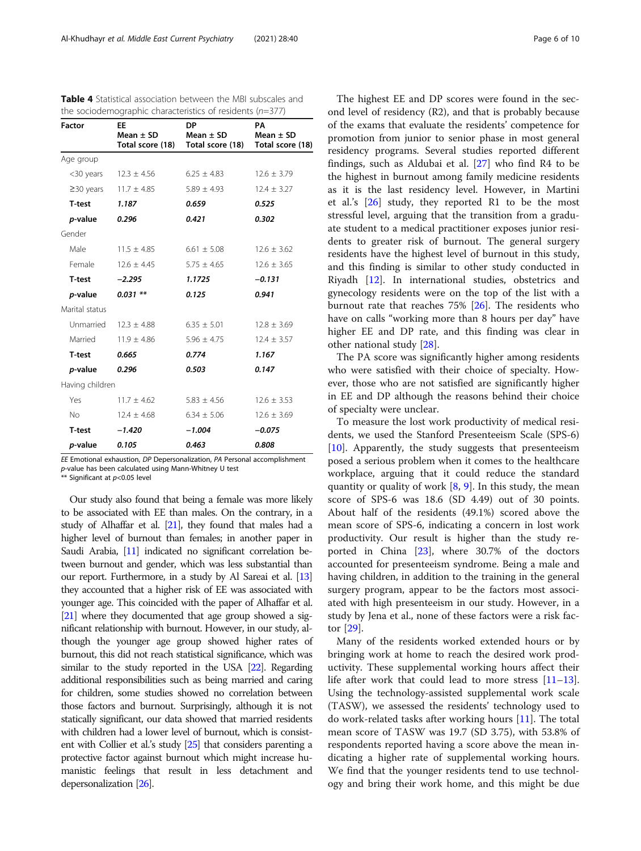| <b>Factor</b>         | <b>EE</b>                       | DP.<br>$Mean \pm SD$ Mean $\pm SD$<br>Total score (18) Total score (18) Total score (18) | PA<br>Mean $\pm$ SD |
|-----------------------|---------------------------------|------------------------------------------------------------------------------------------|---------------------|
| Age group             |                                 |                                                                                          |                     |
|                       | $<$ 30 years 12.3 $\pm$ 4.56    | $6.25 \pm 4.83$                                                                          | $12.6 \pm 3.79$     |
|                       | $≥30 \text{ years}$ 11.7 ± 4.85 | $5.89 \pm 4.93$                                                                          | $12.4 \pm 3.27$     |
| T-test                | 1.187                           | 0.659                                                                                    | 0.525               |
| p-value               | 0.296                           | 0.421                                                                                    | 0.302               |
| Gender                |                                 |                                                                                          |                     |
| Male                  | $11.5 \pm 4.85$                 | $6.61 \pm 5.08$                                                                          | $12.6 \pm 3.62$     |
| Female                | $12.6 \pm 4.45$                 | $5.75 \pm 4.65$                                                                          | $12.6 \pm 3.65$     |
| T-test                | $-2.295$                        | 1.1725                                                                                   | $-0.131$            |
| p-value               | $0.031$ **                      | 0.125                                                                                    | 0.941               |
| Marital status        |                                 |                                                                                          |                     |
|                       | Unmarried $12.3 \pm 4.88$       | $6.35 \pm 5.01$                                                                          | $12.8 \pm 3.69$     |
| Married               | $11.9 \pm 4.86$                 | $5.96 \pm 4.75$                                                                          | $12.4 \pm 3.57$     |
| T-test                | 0.665                           | 0.774                                                                                    | 1.167               |
| <i>p</i> -value 0.296 |                                 | 0.503                                                                                    | 0.147               |
| Having children       |                                 |                                                                                          |                     |
| Yes                   | $11.7 \pm 4.62$                 | $5.83 \pm 4.56$                                                                          | $12.6 \pm 3.53$     |
| No.                   | $12.4 \pm 4.68$                 | $6.34 \pm 5.06$                                                                          | $12.6 \pm 3.69$     |
| T-test                | $-1.420$                        | $-1.004$                                                                                 | $-0.075$            |
| <i>p</i> -value       | 0.105                           | 0.463                                                                                    | 0.808               |

<span id="page-5-0"></span>Table 4 Statistical association between the MBI subscales and the sociodemographic characteristics of residents (n=377)

EE Emotional exhaustion, DP Depersonalization, PA Personal accomplishment

p-value has been calculated using Mann-Whitney U test

\*\* Significant at p<0.05 level

Our study also found that being a female was more likely to be associated with EE than males. On the contrary, in a study of Alhaffar et al. [\[21](#page-8-0)], they found that males had a higher level of burnout than females; in another paper in Saudi Arabia, [\[11\]](#page-8-0) indicated no significant correlation between burnout and gender, which was less substantial than our report. Furthermore, in a study by Al Sareai et al. [\[13](#page-8-0)] they accounted that a higher risk of EE was associated with younger age. This coincided with the paper of Alhaffar et al. [[21\]](#page-8-0) where they documented that age group showed a significant relationship with burnout. However, in our study, although the younger age group showed higher rates of burnout, this did not reach statistical significance, which was similar to the study reported in the USA [\[22](#page-9-0)]. Regarding additional responsibilities such as being married and caring for children, some studies showed no correlation between those factors and burnout. Surprisingly, although it is not statically significant, our data showed that married residents with children had a lower level of burnout, which is consistent with Collier et al.'s study [\[25](#page-9-0)] that considers parenting a protective factor against burnout which might increase humanistic feelings that result in less detachment and depersonalization [\[26](#page-9-0)].

The highest EE and DP scores were found in the second level of residency (R2), and that is probably because of the exams that evaluate the residents' competence for promotion from junior to senior phase in most general residency programs. Several studies reported different findings, such as Aldubai et al. [[27\]](#page-9-0) who find R4 to be the highest in burnout among family medicine residents as it is the last residency level. However, in Martini et al.'s [[26\]](#page-9-0) study, they reported R1 to be the most stressful level, arguing that the transition from a graduate student to a medical practitioner exposes junior residents to greater risk of burnout. The general surgery residents have the highest level of burnout in this study, and this finding is similar to other study conducted in Riyadh [[12\]](#page-8-0). In international studies, obstetrics and gynecology residents were on the top of the list with a burnout rate that reaches 75% [[26\]](#page-9-0). The residents who have on calls "working more than 8 hours per day" have higher EE and DP rate, and this finding was clear in other national study [\[28](#page-9-0)].

The PA score was significantly higher among residents who were satisfied with their choice of specialty. However, those who are not satisfied are significantly higher in EE and DP although the reasons behind their choice of specialty were unclear.

To measure the lost work productivity of medical residents, we used the Stanford Presenteeism Scale (SPS-6) [[10\]](#page-8-0). Apparently, the study suggests that presenteeism posed a serious problem when it comes to the healthcare workplace, arguing that it could reduce the standard quantity or quality of work  $[8, 9]$  $[8, 9]$  $[8, 9]$  $[8, 9]$ . In this study, the mean score of SPS-6 was 18.6 (SD 4.49) out of 30 points. About half of the residents (49.1%) scored above the mean score of SPS-6, indicating a concern in lost work productivity. Our result is higher than the study reported in China [\[23](#page-9-0)], where 30.7% of the doctors accounted for presenteeism syndrome. Being a male and having children, in addition to the training in the general surgery program, appear to be the factors most associated with high presenteeism in our study. However, in a study by Jena et al., none of these factors were a risk factor [[29\]](#page-9-0).

Many of the residents worked extended hours or by bringing work at home to reach the desired work productivity. These supplemental working hours affect their life after work that could lead to more stress [[11](#page-8-0)–[13](#page-8-0)]. Using the technology-assisted supplemental work scale (TASW), we assessed the residents' technology used to do work-related tasks after working hours [[11\]](#page-8-0). The total mean score of TASW was 19.7 (SD 3.75), with 53.8% of respondents reported having a score above the mean indicating a higher rate of supplemental working hours. We find that the younger residents tend to use technology and bring their work home, and this might be due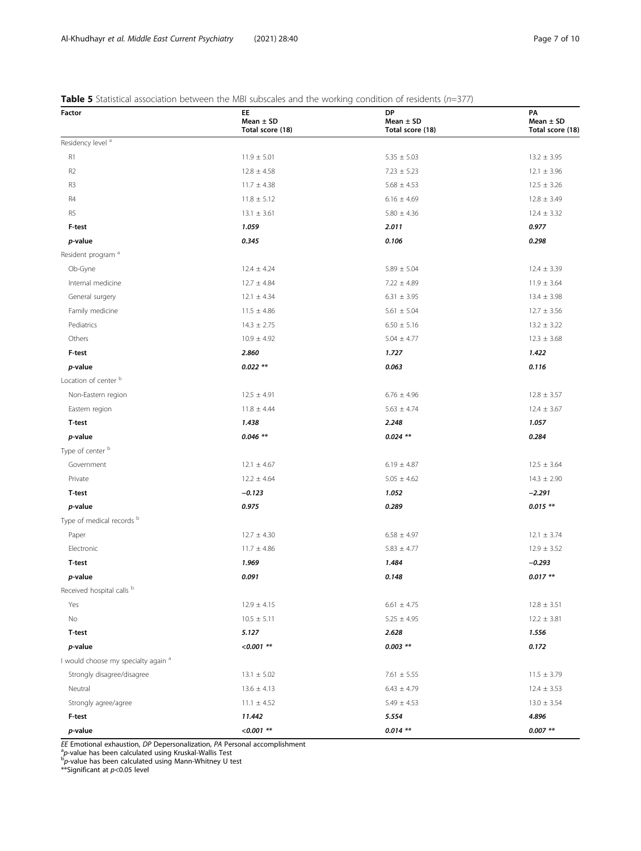#### <span id="page-6-0"></span>**Table 5** Statistical association between the MBI subscales and the working condition of residents ( $n=377$ )

| Factor                                         | 0000.00 and the normal<br>EE.<br>Mean $\pm$ SD<br>Total score (18) | DP<br>Mean $\pm$ SD<br>Total score (18) | PA<br>Mean $\pm$ SD<br>Total score (18) |  |  |
|------------------------------------------------|--------------------------------------------------------------------|-----------------------------------------|-----------------------------------------|--|--|
| Residency level <sup>a</sup>                   |                                                                    |                                         |                                         |  |  |
| R1                                             | $11.9 \pm 5.01$                                                    | $5.35 \pm 5.03$                         | $13.2 \pm 3.95$                         |  |  |
| R <sub>2</sub>                                 | $12.8 \pm 4.58$                                                    | $7.23 \pm 5.23$                         | $12.1 \pm 3.96$                         |  |  |
| R3                                             | $11.7 \pm 4.38$                                                    | $5.68 \pm 4.53$                         | $12.5 \pm 3.26$                         |  |  |
| R4                                             | $11.8 \pm 5.12$                                                    | $6.16 \pm 4.69$                         | $12.8 \pm 3.49$                         |  |  |
| R <sub>5</sub>                                 | $13.1 \pm 3.61$                                                    | $5.80 \pm 4.36$                         | $12.4 \pm 3.32$                         |  |  |
| F-test                                         | 1.059                                                              | 2.011                                   | 0.977                                   |  |  |
| p-value                                        | 0.345                                                              | 0.106                                   | 0.298                                   |  |  |
| Resident program <sup>a</sup>                  |                                                                    |                                         |                                         |  |  |
| Ob-Gyne                                        | $12.4 \pm 4.24$                                                    | $5.89 \pm 5.04$                         | $12.4 \pm 3.39$                         |  |  |
| Internal medicine                              | $12.7 \pm 4.84$                                                    | $7.22 \pm 4.89$                         | $11.9 \pm 3.64$                         |  |  |
| General surgery                                | $12.1 \pm 4.34$                                                    | $6.31 \pm 3.95$                         | $13.4 \pm 3.98$                         |  |  |
| Family medicine                                | $11.5 \pm 4.86$                                                    | $5.61 \pm 5.04$                         | $12.7 \pm 3.56$                         |  |  |
| Pediatrics                                     | $14.3 \pm 2.75$                                                    | $6.50 \pm 5.16$                         | $13.2 \pm 3.22$                         |  |  |
| Others                                         | $10.9 \pm 4.92$                                                    | $5.04 \pm 4.77$                         | $12.3 \pm 3.68$                         |  |  |
| F-test                                         | 2.860                                                              | 1.727                                   | 1.422                                   |  |  |
| p-value                                        | $0.022$ **                                                         | 0.063                                   | 0.116                                   |  |  |
| Location of center b                           |                                                                    |                                         |                                         |  |  |
| Non-Eastern region                             | $12.5 \pm 4.91$                                                    | $6.76 \pm 4.96$                         | $12.8 \pm 3.57$                         |  |  |
| Eastern region                                 | $11.8 \pm 4.44$                                                    | $5.63 \pm 4.74$                         | $12.4 \pm 3.67$                         |  |  |
| T-test                                         | 1.438                                                              | 2.248                                   | 1.057                                   |  |  |
| p-value                                        | $0.046$ **                                                         | $0.024$ **                              | 0.284                                   |  |  |
| Type of center b                               |                                                                    |                                         |                                         |  |  |
| Government                                     | $12.1 \pm 4.67$                                                    | $6.19 \pm 4.87$                         | $12.5 \pm 3.64$                         |  |  |
| Private                                        | $12.2 \pm 4.64$                                                    | $5.05 \pm 4.62$                         | $14.3 \pm 2.90$                         |  |  |
| <b>T-test</b>                                  | $-0.123$                                                           | 1.052                                   | $-2.291$                                |  |  |
| p-value                                        | 0.975                                                              | 0.289                                   | $0.015**$                               |  |  |
| Type of medical records b                      |                                                                    |                                         |                                         |  |  |
| Paper                                          | $12.7 \pm 4.30$                                                    | $6.58 \pm 4.97$                         | $12.1 \pm 3.74$                         |  |  |
| Electronic                                     | $11.7 \pm 4.86$                                                    | $5.83 \pm 4.77$                         | $12.9 \pm 3.52$                         |  |  |
| <b>T-test</b>                                  | 1.969                                                              | 1.484                                   | $-0.293$                                |  |  |
| p-value                                        | 0.091                                                              | 0.148                                   | $0.017**$                               |  |  |
| Received hospital calls b                      |                                                                    |                                         |                                         |  |  |
| Yes                                            | $12.9 \pm 4.15$                                                    | $6.61 \pm 4.75$                         | $12.8 \pm 3.51$                         |  |  |
| No                                             | $10.5 \pm 5.11$                                                    | $5.25 \pm 4.95$                         | $12.2 \pm 3.81$                         |  |  |
| T-test                                         | 5.127                                                              | 2.628                                   | 1.556                                   |  |  |
| p-value                                        | $< 0.001$ **                                                       | $0.003$ **                              | 0.172                                   |  |  |
| I would choose my specialty again <sup>a</sup> |                                                                    |                                         |                                         |  |  |
| Strongly disagree/disagree                     | $13.1 \pm 5.02$                                                    | $7.61 \pm 5.55$                         | $11.5 \pm 3.79$                         |  |  |
| Neutral                                        | $13.6 \pm 4.13$                                                    | $6.43 \pm 4.79$                         | $12.4 \pm 3.53$                         |  |  |
| Strongly agree/agree                           | $11.1 \pm 4.52$                                                    | $5.49 \pm 4.53$                         | $13.0 \pm 3.54$                         |  |  |
| F-test                                         | 11.442                                                             | 5.554                                   | 4.896                                   |  |  |
| p-value                                        | $< 0.001$ **                                                       | $0.014$ **                              | $0.007$ **                              |  |  |

EE Emotional exhaustion, DP Depersonalization, PA Personal accomplishment<br><sup>a</sup>p-value has been calculated using Kruskal-Wallis Test<br><sup>b</sup>p-value has been calculated using Mann-Whitney U test<br>\*\*Significant at p<0.05 level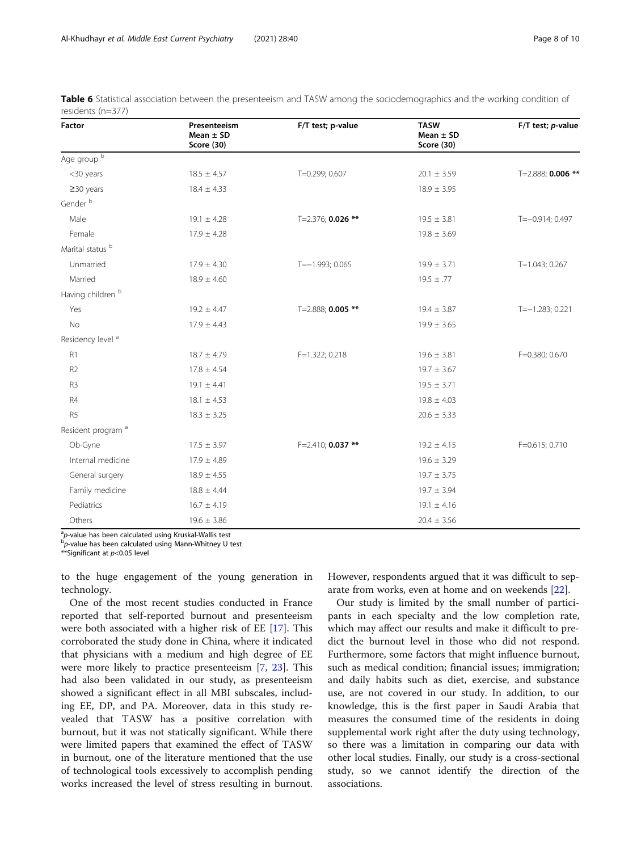| Factor                        | Presenteeism<br>Mean $\pm$ SD<br>Score (30) | F/T test; p-value   | <b>TASW</b><br>Mean $\pm$ SD<br><b>Score (30)</b> | F/T test; p-value |
|-------------------------------|---------------------------------------------|---------------------|---------------------------------------------------|-------------------|
| Age group b                   |                                             |                     |                                                   |                   |
| <30 years                     | $18.5 \pm 4.57$                             | T=0.299; 0.607      | $20.1 \pm 3.59$                                   | T=2.888; 0.006 ** |
| $\geq$ 30 years               | $18.4 \pm 4.33$                             |                     | $18.9 \pm 3.95$                                   |                   |
| Gender <sup>b</sup>           |                                             |                     |                                                   |                   |
| Male                          | $19.1 \pm 4.28$                             | T=2.376; 0.026 **   | $19.5 \pm 3.81$                                   | $T=-0.914; 0.497$ |
| Female                        | $17.9 \pm 4.28$                             |                     | $19.8 \pm 3.69$                                   |                   |
| Marital status <sup>b</sup>   |                                             |                     |                                                   |                   |
| Unmarried                     | $17.9 \pm 4.30$                             | $T=-1.993; 0.065$   | $19.9 \pm 3.71$                                   | $T=1.043; 0.267$  |
| Married                       | $18.9 \pm 4.60$                             |                     | $19.5 \pm .77$                                    |                   |
| Having children <sup>b</sup>  |                                             |                     |                                                   |                   |
| Yes                           | $19.2 \pm 4.47$                             | T=2.888; 0.005 **   | $19.4 \pm 3.87$                                   | $T=-1.283; 0.221$ |
| No                            | $17.9 \pm 4.43$                             |                     | $19.9 \pm 3.65$                                   |                   |
| Residency level <sup>a</sup>  |                                             |                     |                                                   |                   |
| R1                            | $18.7 \pm 4.79$                             | F=1.322; 0.218      | $19.6 \pm 3.81$                                   | F=0.380; 0.670    |
| R <sub>2</sub>                | $17.8 \pm 4.54$                             |                     | $19.7 \pm 3.67$                                   |                   |
| R3                            | $19.1 \pm 4.41$                             |                     | $19.5 \pm 3.71$                                   |                   |
| R4                            | $18.1 \pm 4.53$                             |                     | $19.8 \pm 4.03$                                   |                   |
| R <sub>5</sub>                | $18.3 \pm 3.25$                             |                     | $20.6 \pm 3.33$                                   |                   |
| Resident program <sup>a</sup> |                                             |                     |                                                   |                   |
| Ob-Gyne                       | $17.5 \pm 3.97$                             | $F=2.410; 0.037$ ** | $19.2 \pm 4.15$                                   | F=0.615; 0.710    |
| Internal medicine             | $17.9 \pm 4.89$                             |                     | $19.6 \pm 3.29$                                   |                   |
| General surgery               | $18.9 \pm 4.55$                             |                     | $19.7 \pm 3.75$                                   |                   |
| Family medicine               | $18.8 \pm 4.44$                             |                     | $19.7 \pm 3.94$                                   |                   |
| Pediatrics                    | $16.7 \pm 4.19$                             |                     | $19.1 \pm 4.16$                                   |                   |
| Others                        | $19.6 \pm 3.86$                             |                     | $20.4 \pm 3.56$                                   |                   |

<span id="page-7-0"></span>

| Table 6 Statistical association between the presenteeism and TASW among the sociodemographics and the working condition of |  |  |  |  |  |  |  |
|----------------------------------------------------------------------------------------------------------------------------|--|--|--|--|--|--|--|
| residents (n=377)                                                                                                          |  |  |  |  |  |  |  |

<sup>a</sup>p-value has been calculated using Kruskal-Wallis test<br><sup>b</sup>n value has been calculated using Mann Whitney U.

 $\overline{p}$ -value has been calculated using Mann-Whitney U test

\*\*Significant at  $p<$  0.05 level

to the huge engagement of the young generation in technology.

One of the most recent studies conducted in France reported that self-reported burnout and presenteeism were both associated with a higher risk of EE [[17](#page-8-0)]. This corroborated the study done in China, where it indicated that physicians with a medium and high degree of EE were more likely to practice presenteeism [[7](#page-8-0), [23\]](#page-9-0). This had also been validated in our study, as presenteeism showed a significant effect in all MBI subscales, including EE, DP, and PA. Moreover, data in this study revealed that TASW has a positive correlation with burnout, but it was not statically significant. While there were limited papers that examined the effect of TASW in burnout, one of the literature mentioned that the use of technological tools excessively to accomplish pending works increased the level of stress resulting in burnout. However, respondents argued that it was difficult to separate from works, even at home and on weekends [[22\]](#page-9-0).

Our study is limited by the small number of participants in each specialty and the low completion rate, which may affect our results and make it difficult to predict the burnout level in those who did not respond. Furthermore, some factors that might influence burnout, such as medical condition; financial issues; immigration; and daily habits such as diet, exercise, and substance use, are not covered in our study. In addition, to our knowledge, this is the first paper in Saudi Arabia that measures the consumed time of the residents in doing supplemental work right after the duty using technology, so there was a limitation in comparing our data with other local studies. Finally, our study is a cross-sectional study, so we cannot identify the direction of the associations.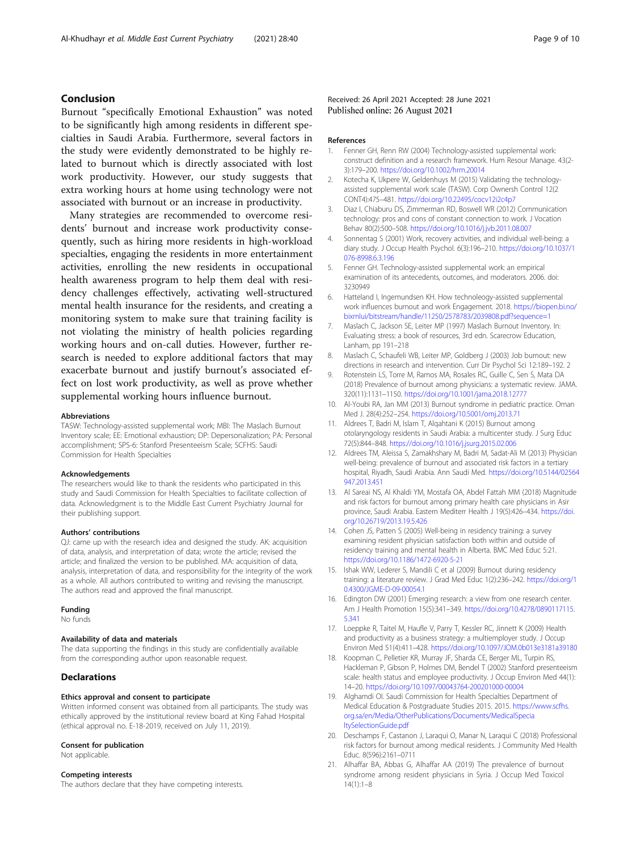#### <span id="page-8-0"></span>Conclusion

Burnout "specifically Emotional Exhaustion" was noted to be significantly high among residents in different specialties in Saudi Arabia. Furthermore, several factors in the study were evidently demonstrated to be highly related to burnout which is directly associated with lost work productivity. However, our study suggests that extra working hours at home using technology were not associated with burnout or an increase in productivity.

Many strategies are recommended to overcome residents' burnout and increase work productivity consequently, such as hiring more residents in high-workload specialties, engaging the residents in more entertainment activities, enrolling the new residents in occupational health awareness program to help them deal with residency challenges effectively, activating well-structured mental health insurance for the residents, and creating a monitoring system to make sure that training facility is not violating the ministry of health policies regarding working hours and on-call duties. However, further research is needed to explore additional factors that may exacerbate burnout and justify burnout's associated effect on lost work productivity, as well as prove whether supplemental working hours influence burnout.

#### Abbreviations

TASW: Technology-assisted supplemental work; MBI: The Maslach Burnout Inventory scale; EE: Emotional exhaustion; DP: Depersonalization; PA: Personal accomplishment; SPS-6: Stanford Presenteeism Scale; SCFHS: Saudi Commission for Health Specialties

#### Acknowledgements

The researchers would like to thank the residents who participated in this study and Saudi Commission for Health Specialties to facilitate collection of data. Acknowledgment is to the Middle East Current Psychiatry Journal for their publishing support.

#### Authors' contributions

QJ: came up with the research idea and designed the study. AK: acquisition of data, analysis, and interpretation of data; wrote the article; revised the article; and finalized the version to be published. MA: acquisition of data, analysis, interpretation of data, and responsibility for the integrity of the work as a whole. All authors contributed to writing and revising the manuscript. The authors read and approved the final manuscript.

#### Funding

No funds

#### Availability of data and materials

The data supporting the findings in this study are confidentially available from the corresponding author upon reasonable request.

#### **Declarations**

#### Ethics approval and consent to participate

Written informed consent was obtained from all participants. The study was ethically approved by the institutional review board at King Fahad Hospital (ethical approval no. E-18-2019, received on July 11, 2019).

#### Consent for publication

Not applicable.

#### Competing interests

The authors declare that they have competing interests.

Received: 26 April 2021 Accepted: 28 June 2021 Published online: 26 August 2021

#### References

- 1. Fenner GH, Renn RW (2004) Technology-assisted supplemental work: construct definition and a research framework. Hum Resour Manage. 43(2- 3):179–200. <https://doi.org/10.1002/hrm.20014>
- 2. Kotecha K, Ukpere W, Geldenhuys M (2015) Validating the technologyassisted supplemental work scale (TASW). Corp Ownersh Control 12(2 CONT4):475–481. <https://doi.org/10.22495/cocv12i2c4p7>
- 3. Diaz I, Chiaburu DS, Zimmerman RD, Boswell WR (2012) Communication technology: pros and cons of constant connection to work. J Vocation Behav 80(2):500–508. <https://doi.org/10.1016/j.jvb.2011.08.007>
- 4. Sonnentag S (2001) Work, recovery activities, and individual well-being: a diary study. J Occup Health Psychol. 6(3):196–210. [https://doi.org/10.1037/1](https://doi.org/10.1037/1076-8998.6.3.196) [076-8998.6.3.196](https://doi.org/10.1037/1076-8998.6.3.196)
- 5. Fenner GH. Technology-assisted supplemental work: an empirical examination of its antecedents, outcomes, and moderators. 2006. doi: 3230949
- 6. Hatteland I, Ingemundsen KH. How technoleogy-assisted supplemental work influences burnout and work Engagement. 2018. [https://biopen.bi.no/](https://biopen.bi.no/bixmlui/bitstream/handle/11250/2578783/2039808.pdf?sequence=1) [bixmlui/bitstream/handle/11250/2578783/2039808.pdf?sequence=1](https://biopen.bi.no/bixmlui/bitstream/handle/11250/2578783/2039808.pdf?sequence=1)
- 7. Maslach C, Jackson SE, Leiter MP (1997) Maslach Burnout Inventory. In: Evaluating stress: a book of resources, 3rd edn. Scarecrow Education, Lanham, pp 191–218
- 8. Maslach C, Schaufeli WB, Leiter MP, Goldberg J (2003) Job burnout: new directions in research and intervention. Curr Dir Psychol Sci 12:189–192. 2
- 9. Rotenstein LS, Torre M, Ramos MA, Rosales RC, Guille C, Sen S, Mata DA (2018) Prevalence of burnout among physicians: a systematic review. JAMA. 320(11):1131–1150. <https://doi.org/10.1001/jama.2018.12777>
- 10. Al-Youbi RA, Jan MM (2013) Burnout syndrome in pediatric practice. Oman Med J. 28(4):252–254. <https://doi.org/10.5001/omj.2013.71>
- 11. Aldrees T, Badri M, Islam T, Alqahtani K (2015) Burnout among otolaryngology residents in Saudi Arabia: a multicenter study. J Surg Educ 72(5):844–848. <https://doi.org/10.1016/j.jsurg.2015.02.006>
- 12. Aldrees TM, Aleissa S, Zamakhshary M, Badri M, Sadat-Ali M (2013) Physician well-being: prevalence of burnout and associated risk factors in a tertiary hospital, Riyadh, Saudi Arabia. Ann Saudi Med. [https://doi.org/10.5144/02564](https://doi.org/10.5144/02564947.2013.451) [947.2013.451](https://doi.org/10.5144/02564947.2013.451)
- 13. Al Sareai NS, Al Khaldi YM, Mostafa OA, Abdel Fattah MM (2018) Magnitude and risk factors for burnout among primary health care physicians in Asir province, Saudi Arabia. Eastern Mediterr Health J 19(5):426–434. [https://doi.](https://doi.org/10.26719/2013.19.5.426) [org/10.26719/2013.19.5.426](https://doi.org/10.26719/2013.19.5.426)
- 14. Cohen JS, Patten S (2005) Well-being in residency training: a survey examining resident physician satisfaction both within and outside of residency training and mental health in Alberta. BMC Med Educ 5:21. <https://doi.org/10.1186/1472-6920-5-21>
- 15. Ishak WW, Lederer S, Mandili C et al (2009) Burnout during residency training: a literature review. J Grad Med Educ 1(2):236–242. [https://doi.org/1](https://doi.org/10.4300/JGME-D-09-00054.1) [0.4300/JGME-D-09-00054.1](https://doi.org/10.4300/JGME-D-09-00054.1)
- 16. Edington DW (2001) Emerging research: a view from one research center. Am J Health Promotion 15(5):341–349. [https://doi.org/10.4278/0890117115.](https://doi.org/10.4278/0890117115.5.341) [5.341](https://doi.org/10.4278/0890117115.5.341)
- 17. Loeppke R, Taitel M, Haufle V, Parry T, Kessler RC, Jinnett K (2009) Health and productivity as a business strategy: a multiemployer study. J Occup Environ Med 51(4):411–428. <https://doi.org/10.1097/JOM.0b013e3181a39180>
- 18. Koopman C, Pelletier KR, Murray JF, Sharda CE, Berger ML, Turpin RS, Hackleman P, Gibson P, Holmes DM, Bendel T (2002) Stanford presenteeism scale: health status and employee productivity. J Occup Environ Med 44(1): 14–20. <https://doi.org/10.1097/00043764-200201000-00004>
- 19. Alghamdi OI. Saudi Commission for Health Specialties Department of Medical Education & Postgraduate Studies 2015. 2015. [https://www.scfhs.](https://www.scfhs.org.sa/en/Media/OtherPublications/Documents/MedicalSpecialtySelectionGuide.pdf) [org.sa/en/Media/OtherPublications/Documents/MedicalSpecia](https://www.scfhs.org.sa/en/Media/OtherPublications/Documents/MedicalSpecialtySelectionGuide.pdf) [ltySelectionGuide.pdf](https://www.scfhs.org.sa/en/Media/OtherPublications/Documents/MedicalSpecialtySelectionGuide.pdf)
- 20. Deschamps F, Castanon J, Laraqui O, Manar N, Laraqui C (2018) Professional risk factors for burnout among medical residents. J Community Med Health Educ. 8(596):2161–0711
- 21. Alhaffar BA, Abbas G, Alhaffar AA (2019) The prevalence of burnout syndrome among resident physicians in Syria. J Occup Med Toxicol 14(1):1–8